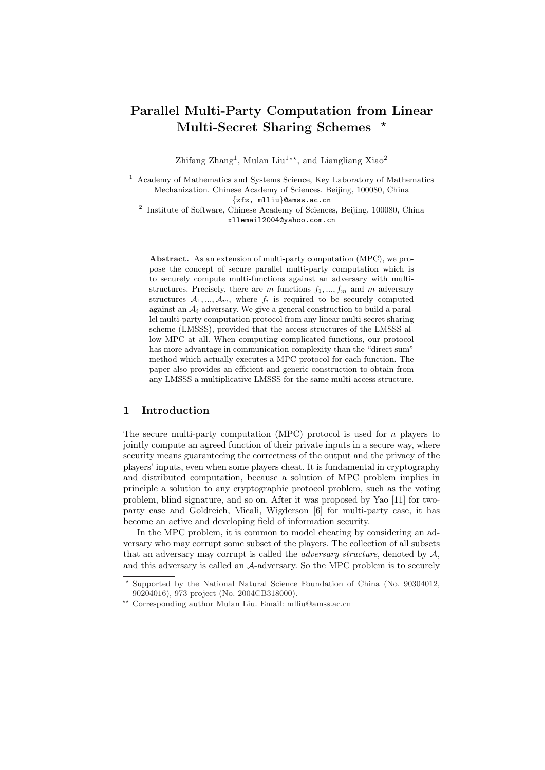# Parallel Multi-Party Computation from Linear Multi-Secret Sharing Schemes \*

Zhifang Zhang<sup>1</sup>, Mulan Liu<sup>1\*\*</sup>, and Liangliang Xiao<sup>2</sup>

<sup>1</sup> Academy of Mathematics and Systems Science, Key Laboratory of Mathematics Mechanization, Chinese Academy of Sciences, Beijing, 100080, China {zfz, mlliu}@amss.ac.cn

<sup>2</sup> Institute of Software, Chinese Academy of Sciences, Beijing, 100080, China xllemail2004@yahoo.com.cn

Abstract. As an extension of multi-party computation (MPC), we propose the concept of secure parallel multi-party computation which is to securely compute multi-functions against an adversary with multistructures. Precisely, there are m functions  $f_1, ..., f_m$  and m adversary structures  $A_1, ..., A_m$ , where  $f_i$  is required to be securely computed against an  $A_i$ -adversary. We give a general construction to build a parallel multi-party computation protocol from any linear multi-secret sharing scheme (LMSSS), provided that the access structures of the LMSSS allow MPC at all. When computing complicated functions, our protocol has more advantage in communication complexity than the "direct sum" method which actually executes a MPC protocol for each function. The paper also provides an efficient and generic construction to obtain from any LMSSS a multiplicative LMSSS for the same multi-access structure.

# 1 Introduction

The secure multi-party computation (MPC) protocol is used for  $n$  players to jointly compute an agreed function of their private inputs in a secure way, where security means guaranteeing the correctness of the output and the privacy of the players' inputs, even when some players cheat. It is fundamental in cryptography and distributed computation, because a solution of MPC problem implies in principle a solution to any cryptographic protocol problem, such as the voting problem, blind signature, and so on. After it was proposed by Yao [11] for twoparty case and Goldreich, Micali, Wigderson [6] for multi-party case, it has become an active and developing field of information security.

In the MPC problem, it is common to model cheating by considering an adversary who may corrupt some subset of the players. The collection of all subsets that an adversary may corrupt is called the *adversary structure*, denoted by  $A$ , and this adversary is called an A-adversary. So the MPC problem is to securely

<sup>?</sup> Supported by the National Natural Science Foundation of China (No. 90304012, 90204016), 973 project (No. 2004CB318000).

<sup>??</sup> Corresponding author Mulan Liu. Email: mlliu@amss.ac.cn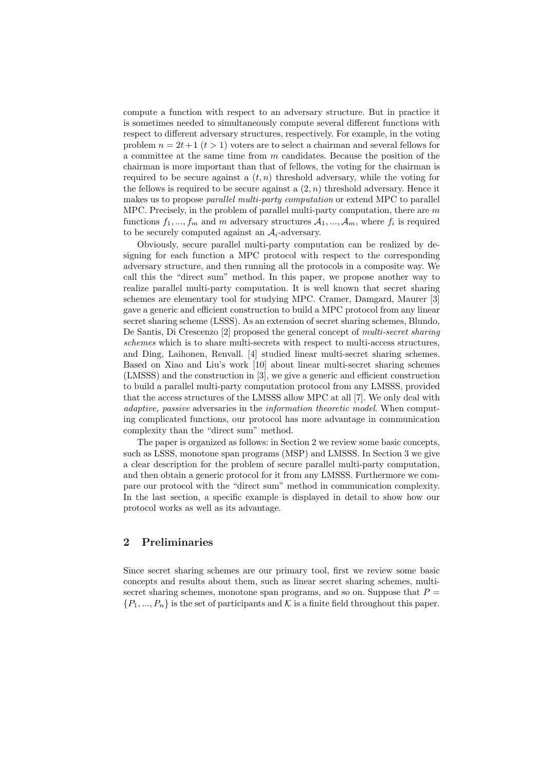compute a function with respect to an adversary structure. But in practice it is sometimes needed to simultaneously compute several different functions with respect to different adversary structures, respectively. For example, in the voting problem  $n = 2t + 1$   $(t > 1)$  voters are to select a chairman and several fellows for a committee at the same time from  $m$  candidates. Because the position of the chairman is more important than that of fellows, the voting for the chairman is required to be secure against a  $(t, n)$  threshold adversary, while the voting for the fellows is required to be secure against a  $(2, n)$  threshold adversary. Hence it makes us to propose parallel multi-party computation or extend MPC to parallel MPC. Precisely, in the problem of parallel multi-party computation, there are  $m$ functions  $f_1, ..., f_m$  and m adversary structures  $A_1, ..., A_m$ , where  $f_i$  is required to be securely computed against an  $A_i$ -adversary.

Obviously, secure parallel multi-party computation can be realized by designing for each function a MPC protocol with respect to the corresponding adversary structure, and then running all the protocols in a composite way. We call this the "direct sum" method. In this paper, we propose another way to realize parallel multi-party computation. It is well known that secret sharing schemes are elementary tool for studying MPC. Cramer, Damgard, Maurer [3] gave a generic and efficient construction to build a MPC protocol from any linear secret sharing scheme (LSSS). As an extension of secret sharing schemes, Blundo, De Santis, Di Crescenzo [2] proposed the general concept of multi-secret sharing schemes which is to share multi-secrets with respect to multi-access structures, and Ding, Laihonen, Renvall. [4] studied linear multi-secret sharing schemes. Based on Xiao and Liu's work [10] about linear multi-secret sharing schemes (LMSSS) and the construction in [3], we give a generic and efficient construction to build a parallel multi-party computation protocol from any LMSSS, provided that the access structures of the LMSSS allow MPC at all [7]. We only deal with adaptive, passive adversaries in the information theoretic model. When computing complicated functions, our protocol has more advantage in communication complexity than the "direct sum" method.

The paper is organized as follows: in Section 2 we review some basic concepts, such as LSSS, monotone span programs (MSP) and LMSSS. In Section 3 we give a clear description for the problem of secure parallel multi-party computation, and then obtain a generic protocol for it from any LMSSS. Furthermore we compare our protocol with the "direct sum" method in communication complexity. In the last section, a specific example is displayed in detail to show how our protocol works as well as its advantage.

# 2 Preliminaries

Since secret sharing schemes are our primary tool, first we review some basic concepts and results about them, such as linear secret sharing schemes, multisecret sharing schemes, monotone span programs, and so on. Suppose that  $P =$  $\{P_1, ..., P_n\}$  is the set of participants and K is a finite field throughout this paper.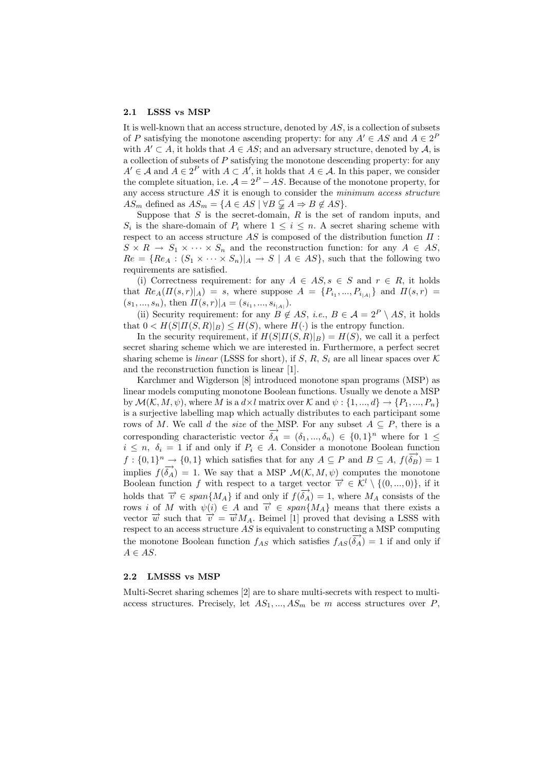#### 2.1 LSSS vs MSP

It is well-known that an access structure, denoted by  $AS$ , is a collection of subsets of P satisfying the monotone ascending property: for any  $A' \in AS$  and  $A \in 2^F$ with  $A' \subset A$ , it holds that  $A \in AS$ ; and an adversary structure, denoted by  $A$ , is a collection of subsets of  $P$  satisfying the monotone descending property: for any  $A' \in \mathcal{A}$  and  $A \in 2^P$  with  $A \subset A'$ , it holds that  $A \in \mathcal{A}$ . In this paper, we consider the complete situation, i.e.  $\mathcal{A} = 2^P - AS$ . Because of the monotone property, for any access structure  $AS$  it is enough to consider the minimum access structure  $AS_m$  defined as  $AS_m = \{A \in AS \mid \forall B \subsetneq A \Rightarrow B \notin AS\}.$ 

Suppose that  $S$  is the secret-domain,  $R$  is the set of random inputs, and  $S_i$  is the share-domain of  $P_i$  where  $1 \leq i \leq n$ . A secret sharing scheme with respect to an access structure  $AS$  is composed of the distribution function  $\Pi$ :  $S \times R \to S_1 \times \cdots \times S_n$  and the reconstruction function: for any  $A \in AS$ ,  $Re = \{Re_A : (S_1 \times \cdots \times S_n)|_A \rightarrow S \mid A \in AS\}$ , such that the following two requirements are satisfied.

(i) Correctness requirement: for any  $A \in AS$ ,  $s \in S$  and  $r \in R$ , it holds that  $Re_A(\Pi(s,r)|_A) = s$ , where suppose  $A = \{P_{i_1},...,P_{i_{|A|}}\}$  and  $\Pi(s,r) =$  $(s_1, ..., s_n)$ , then  $\Pi(s, r)|_A = (s_{i_1}, ..., s_{i_{|A|}})$ .

(ii) Security requirement: for any  $B \notin AS$ , *i.e.*,  $B \in \mathcal{A} = 2^P \setminus AS$ , it holds that  $0 < H(S|H(S,R)|_B) \leq H(S)$ , where  $H(\cdot)$  is the entropy function.

In the security requirement, if  $H(S|T(S,R)|_B) = H(S)$ , we call it a perfect secret sharing scheme which we are interested in. Furthermore, a perfect secret sharing scheme is *linear* (LSSS for short), if S, R,  $S_i$  are all linear spaces over K and the reconstruction function is linear [1].

Karchmer and Wigderson [8] introduced monotone span programs (MSP) as linear models computing monotone Boolean functions. Usually we denote a MSP by  $\mathcal{M}(\mathcal{K}, M, \psi)$ , where M is a  $d \times l$  matrix over K and  $\psi : \{1, ..., d\} \to \{P_1, ..., P_n\}$ is a surjective labelling map which actually distributes to each participant some rows of M. We call d the size of the MSP. For any subset  $A \subseteq P$ , there is a corresponding characteristic vector  $\vec{\delta}_A = (\delta_1, ..., \delta_n) \in \{0, 1\}^n$  where for  $1 \leq$  $i \leq n, \delta_i = 1$  if and only if  $P_i \in A$ . Consider a monotone Boolean function  $f: \{0,1\}^n \to \{0,1\}$  which satisfies that for any  $A \subseteq P$  and  $B \subseteq A$ ,  $f(\overline{\delta_B}) = 1$ implies  $f(\vec{\delta}_A) = 1$ . We say that a MSP  $\mathcal{M}(\mathcal{K}, M, \psi)$  computes the monotone Boolean function f with respect to a target vector  $\vec{v} \in \mathcal{K}^l \setminus \{(0, ..., 0)\}\$ , if it holds that  $\vec{v} \in span\{M_A\}$  if and only if  $f(\vec{\delta}_A) = 1$ , where  $M_A$  consists of the rows i of M with  $\psi(i) \in A$  and  $\vec{v} \in span{M_A}$  means that there exists a vector  $\overrightarrow{w}$  such that  $\overrightarrow{v} = \overrightarrow{w}M_A$ . Beimel [1] proved that devising a LSSS with respect to an access structure  $AS$  is equivalent to constructing a MSP computing the monotone Boolean function  $f_{AS}$  which satisfies  $f_{AS}(\vec{\delta}_A) = 1$  if and only if  $A \in AS$ .

### 2.2 LMSSS vs MSP

Multi-Secret sharing schemes [2] are to share multi-secrets with respect to multiaccess structures. Precisely, let  $AS_1, ..., AS_m$  be m access structures over P,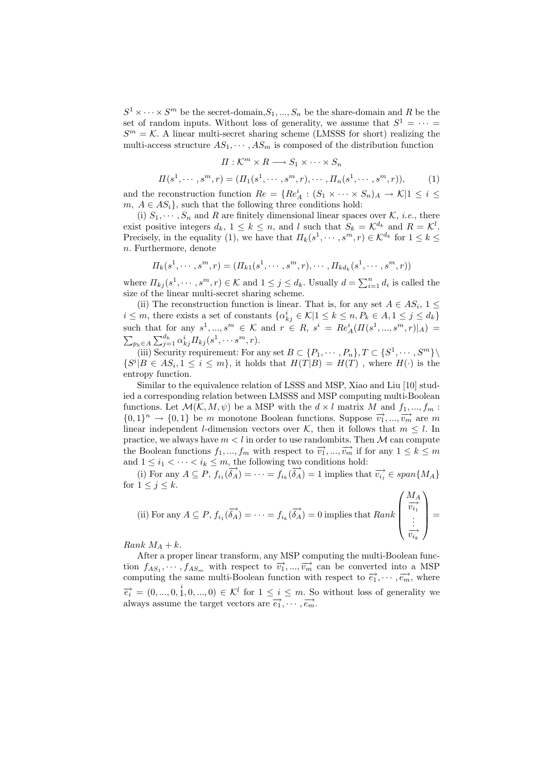$S^1 \times \cdots \times S^m$  be the secret-domain,  $S_1, ..., S_n$  be the share-domain and R be the set of random inputs. Without loss of generality, we assume that  $S^1 = \cdots =$  $S<sup>m</sup> = K$ . A linear multi-secret sharing scheme (LMSSS for short) realizing the multi-access structure  $AS_1, \cdots, AS_m$  is composed of the distribution function

$$
\Pi: \mathcal{K}^m \times R \longrightarrow S_1 \times \cdots \times S_n
$$

$$
\Pi(s^1, \cdots, s^m, r) = (\Pi_1(s^1, \cdots, s^m, r), \cdots, \Pi_n(s^1, \cdots, s^m, r)),
$$
 (1)

and the reconstruction function  $Re = \{Re_A^i : (S_1 \times \cdots \times S_n)_A \to \mathcal{K} | 1 \leq i \leq \cdots \}$  $m, A \in AS_i$ , such that the following three conditions hold:

(i)  $S_1, \dots, S_n$  and R are finitely dimensional linear spaces over K, *i.e.*, there exist positive integers  $d_k$ ,  $1 \leq k \leq n$ , and l such that  $S_k = \mathcal{K}^{d_k}$  and  $R = \mathcal{K}^l$ . Precisely, in the equality (1), we have that  $\Pi_k(s^1, \dots, s^m, r) \in \mathcal{K}^{d_k}$  for  $1 \leq k \leq$ n. Furthermore, denote

$$
\Pi_k(s^1, \cdots, s^m, r) = (\Pi_{k1}(s^1, \cdots, s^m, r), \cdots, \Pi_{k d_k}(s^1, \cdots, s^m, r))
$$

where  $\Pi_{kj}(s^1, \dots, s^m, r) \in \mathcal{K}$  and  $1 \leq j \leq d_k$ . Usually  $d = \sum_{i=1}^n d_i$  is called the size of the linear multi-secret sharing scheme.

(ii) The reconstruction function is linear. That is, for any set  $A \in AS_i$ ,  $1 \leq$  $i \leq m$ , there exists a set of constants  $\{\alpha_{kj}^i \in \mathcal{K} | 1 \leq k \leq n, P_k \in A, 1 \leq j \leq d_k\}$ such that for any  $s^1, ..., s^m \in \mathcal{K}$  and  $r \in R$ ,  $s^i = Re_A^i(\Pi(s^1, ..., s^m, r)|_A) =$  $\tilde{ }$  $p_k \in A \sum_{j=1}^{d_k} \alpha_{kj}^i \Pi_{kj} (s^1, \dots s^m, r).$ 

(iii) Security requirement: For any set  $B \subset \{P_1, \dots, P_n\}, T \subset \{S^1, \dots, S^m\}\setminus$  $\{S^i | B \in AS_i, 1 \leq i \leq m\}$ , it holds that  $H(T|B) = H(T)$ , where  $H(\cdot)$  is the entropy function.

Similar to the equivalence relation of LSSS and MSP, Xiao and Liu [10] studied a corresponding relation between LMSSS and MSP computing multi-Boolean functions. Let  $\mathcal{M}(\mathcal{K}, M, \psi)$  be a MSP with the  $d \times l$  matrix M and  $f_1, ..., f_m$ :  ${0, 1}^n \rightarrow {0, 1}$  be m monotone Boolean functions. Suppose  $\overrightarrow{v_1}, \dots, \overrightarrow{v_m}$  are m linear independent *l*-dimension vectors over K, then it follows that  $m \leq l$ . In practice, we always have  $m < l$  in order to use randombits. Then M can compute the Boolean functions  $f_1, ..., f_m$  with respect to  $\overrightarrow{v_1}, ..., \overrightarrow{v_m}$  if for any  $1 \leq k \leq m$ and  $1 \leq i_1 < \cdots < i_k \leq m$ , the following two conditions hold:

(i) For any  $A \subseteq P$ ,  $f_{i_1}(\overrightarrow{\delta_A}) = \cdots = f_{i_k}(\overrightarrow{\delta_A}) = 1$  implies that  $\overrightarrow{v_{i_j}} \in span\{M_A\}$ for  $1 \leq j \leq k$ .

(i) For any 
$$
A \subseteq P
$$
,  $f_{i_1}(\overrightarrow{\delta_A}) = \cdots = f_{i_k}(\overrightarrow{\delta_A}) = 0$  implies that  $Rank \begin{pmatrix} M_A \\ \overrightarrow{v_{i_1}} \\ \vdots \\ \overrightarrow{v_{i_k}} \end{pmatrix} =$ 

Rank  $M_A + k$ .

After a proper linear transform, any MSP computing the multi-Boolean function  $f_{AS_1}, \dots, f_{AS_m}$  with respect to  $\overrightarrow{v_1}, \dots, \overrightarrow{v_m}$  can be converted into a MSP computing the same multi-Boolean function with respect to  $\overrightarrow{e_1}, \dots, \overrightarrow{e_m}$ , where  $\vec{e_i} = (0, ..., 0, \dot{1}, 0, ..., 0) \in \mathcal{K}^l$  for  $1 \leq i \leq m$ . So without loss of generality we always assume the target vectors are  $\vec{e_1}, \dots, \vec{e_m}$ .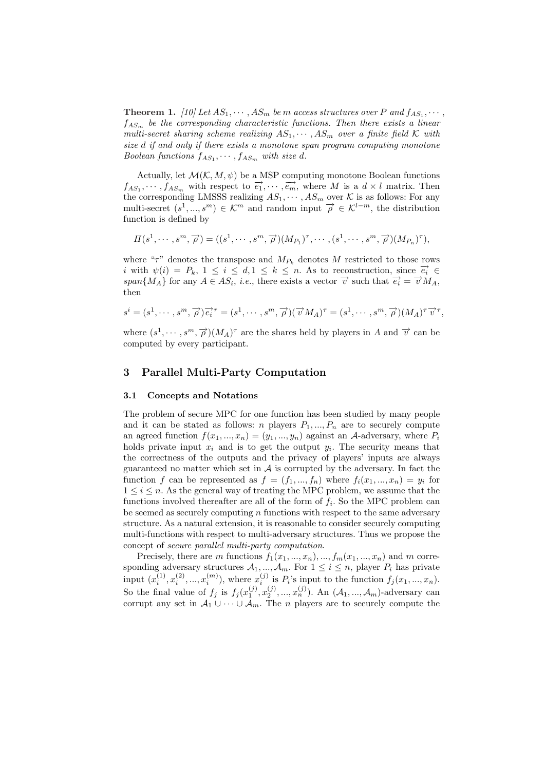**Theorem 1.** [10] Let  $AS_1, \dots, AS_m$  be m access structures over P and  $f_{AS_1}, \dots,$  $f_{AS_m}$  be the corresponding characteristic functions. Then there exists a linear multi-secret sharing scheme realizing  $AS_1, \cdots, AS_m$  over a finite field K with size d if and only if there exists a monotone span program computing monotone Boolean functions  $f_{AS_1}, \cdots, f_{AS_m}$  with size d.

Actually, let  $\mathcal{M}(\mathcal{K}, M, \psi)$  be a MSP computing monotone Boolean functions  $f_{AS_1}, \dots, f_{AS_m}$  with respect to  $\overrightarrow{e_1}, \dots, \overrightarrow{e_m}$ , where M is a  $d \times l$  matrix. Then the corresponding LMSSS realizing  $AS_1, \cdots, AS_m$  over K is as follows: For any multi-secret  $(s^1, ..., s^m) \in \mathcal{K}^m$  and random input  $\overrightarrow{\rho} \in \mathcal{K}^{l-m}$ , the distribution function is defined by

$$
\Pi(s^1,\cdots,s^m,\overrightarrow{\rho})=((s^1,\cdots,s^m,\overrightarrow{\rho})(M_{P_1})^{\tau},\cdots,(s^1,\cdots,s^m,\overrightarrow{\rho})(M_{P_n})^{\tau}),
$$

where " $\tau$ " denotes the transpose and  $M_{P_k}$  denotes M restricted to those rows i with  $\psi(i) = P_k$ ,  $1 \leq i \leq d, 1 \leq k \leq n$ . As to reconstruction, since  $\overrightarrow{e_i} \in$ span $\{M_A\}$  for any  $A \in AS_i$ , i.e., there exists a vector  $\vec{v}$  such that  $\vec{e_i} = \vec{v} M_A$ , then

$$
s^i = (s^1, \cdots, s^m, \overrightarrow{\rho}) \overrightarrow{e_i}^{\tau} = (s^1, \cdots, s^m, \overrightarrow{\rho})(\overrightarrow{v} M_A)^{\tau} = (s^1, \cdots, s^m, \overrightarrow{\rho})(M_A)^{\tau} \overrightarrow{v}^{\tau},
$$

where  $(s^1, \dots, s^m, \overrightarrow{\rho})(M_A)^{\tau}$  are the shares held by players in A and  $\overrightarrow{v}$  can be computed by every participant.

# 3 Parallel Multi-Party Computation

### 3.1 Concepts and Notations

The problem of secure MPC for one function has been studied by many people and it can be stated as follows: n players  $P_1, ..., P_n$  are to securely compute an agreed function  $f(x_1, ..., x_n) = (y_1, ..., y_n)$  against an A-adversary, where  $P_i$ holds private input  $x_i$  and is to get the output  $y_i$ . The security means that the correctness of the outputs and the privacy of players' inputs are always guaranteed no matter which set in  $A$  is corrupted by the adversary. In fact the function f can be represented as  $f = (f_1, ..., f_n)$  where  $f_i(x_1, ..., x_n) = y_i$  for  $1 \leq i \leq n$ . As the general way of treating the MPC problem, we assume that the functions involved thereafter are all of the form of  $f_i$ . So the MPC problem can be seemed as securely computing  $n$  functions with respect to the same adversary structure. As a natural extension, it is reasonable to consider securely computing multi-functions with respect to multi-adversary structures. Thus we propose the concept of secure parallel multi-party computation.

Precisely, there are m functions  $f_1(x_1, ..., x_n), ..., f_m(x_1, ..., x_n)$  and m corresponding adversary structures  $A_1, ..., A_m$ . For  $1 \leq i \leq n$ , player  $P_i$  has private input  $(x_i^{(1)}, x_i^{(2)}, ..., x_i^{(m)})$ , where  $x_i^{(j)}$  is  $P_i$ 's input to the function  $f_j(x_1, ..., x_n)$ . So the final value of  $f_j$  is  $f_j(x_1^{(j)}, x_2^{(j)}, ..., x_n^{(j)})$ . An  $(\mathcal{A}_1, ..., \mathcal{A}_m)$ -adversary can corrupt any set in  $\mathcal{A}_1 \cup \cdots \cup \mathcal{A}_m$ . The *n* players are to securely compute the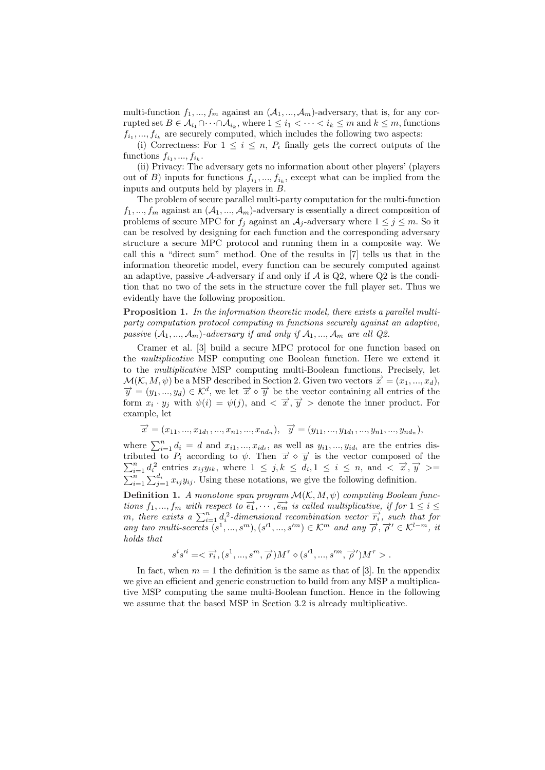multi-function  $f_1, ..., f_m$  against an  $(\mathcal{A}_1, ..., \mathcal{A}_m)$ -adversary, that is, for any corrupted set  $B \in \mathcal{A}_{i_1} \cap \cdots \cap \mathcal{A}_{i_k}$ , where  $1 \leq i_1 < \cdots < i_k \leq m$  and  $k \leq m$ , functions  $f_{i_1},..., f_{i_k}$  are securely computed, which includes the following two aspects:

(i) Correctness: For  $1 \leq i \leq n$ ,  $P_i$  finally gets the correct outputs of the functions  $f_{i_1},...,f_{i_k}$ .

(ii) Privacy: The adversary gets no information about other players' (players out of B) inputs for functions  $f_{i_1},..., f_{i_k}$ , except what can be implied from the inputs and outputs held by players in B.

The problem of secure parallel multi-party computation for the multi-function  $f_1, ..., f_m$  against an  $(\mathcal{A}_1, ..., \mathcal{A}_m)$ -adversary is essentially a direct composition of problems of secure MPC for  $f_j$  against an  $A_j$ -adversary where  $1 \leq j \leq m$ . So it can be resolved by designing for each function and the corresponding adversary structure a secure MPC protocol and running them in a composite way. We call this a "direct sum" method. One of the results in [7] tells us that in the information theoretic model, every function can be securely computed against an adaptive, passive  $\mathcal{A}$ -adversary if and only if  $\mathcal{A}$  is Q2, where Q2 is the condition that no two of the sets in the structure cover the full player set. Thus we evidently have the following proposition.

Proposition 1. In the information theoretic model, there exists a parallel multiparty computation protocol computing m functions securely against an adaptive, passive  $(A_1, ..., A_m)$ -adversary if and only if  $A_1, ..., A_m$  are all  $Q2$ .

Cramer et al. [3] build a secure MPC protocol for one function based on the multiplicative MSP computing one Boolean function. Here we extend it to the multiplicative MSP computing multi-Boolean functions. Precisely, let  $\mathcal{M}(\mathcal{K}, M, \psi)$  be a MSP described in Section 2. Given two vectors  $\overrightarrow{x} = (x_1, ..., x_d)$ ,  $\vec{y} = (y_1, ..., y_d) \in \mathcal{K}^d$ , we let  $\vec{x} \diamond \vec{y}$  be the vector containing all entries of the form  $x_i \cdot y_j$  with  $\psi(i) = \psi(j)$ , and  $\langle \vec{x}, \vec{y} \rangle >$  denote the inner product. For example, let

 $\overrightarrow{x} = (x_{11}, ..., x_{1d_1}, ..., x_{n1}, ..., x_{nd_n}), \overrightarrow{y} = (y_{11}, ..., y_{1d_1}, ..., y_{n1}, ..., y_{nd_n}),$ 

where  $\sum_{i=1}^{n} d_i = d$  and  $x_{i1}, ..., x_{id_i}$ , as well as  $y_{i1}, ..., y_{id_i}$  are the entries distributed to  $P_i$  according to  $\psi$ . Then  $\vec{x} \diamond \vec{y}$  is the vector composed of the  $\sum_{i=1}^{n} d_i^2$  entries  $x_{ij}y_{ik}$ , where  $1 \leq j,$  $\sum_{i=1}^{n} \sum_{j=1}^{d_i} x_{ij} y_{ij}$ . Using these notations, we give the following definition.

**Definition 1.** A monotone span program  $\mathcal{M}(\mathcal{K}, M, \psi)$  computing Boolean func $t$  tions  $f_1, ..., f_m$  with respect to  $\overrightarrow{e_1}, \cdots, \overrightarrow{e_m}$  is called multiplicative, if for  $1 \leq i \leq n$ tions  $j_1, ..., j_m$  with respect to  $e_1, ..., e_m$  is called multiplicative, if for  $1 \leq i \leq m$ , there exists a  $\sum_{i=1}^n d_i^2$ -dimensional recombination vector  $\overrightarrow{r_i}$ , such that for any two multi-secrets  $(s^1, ..., s^m), (s'^1, ..., s'^m) \in \mathcal{K}^m$  and any  $\overrightarrow{\rho}, \overrightarrow{\rho}' \in \mathcal{K}^{l-m}$ , it holds that

$$
s^i s'^i = \langle \overrightarrow{r_i}, (s^1, ..., s^m, \overrightarrow{\rho}) M^{\tau} \diamond (s'^1, ..., s'^m, \overrightarrow{\rho}') M^{\tau} \rangle.
$$

In fact, when  $m = 1$  the definition is the same as that of [3]. In the appendix we give an efficient and generic construction to build from any MSP a multiplicative MSP computing the same multi-Boolean function. Hence in the following we assume that the based MSP in Section 3.2 is already multiplicative.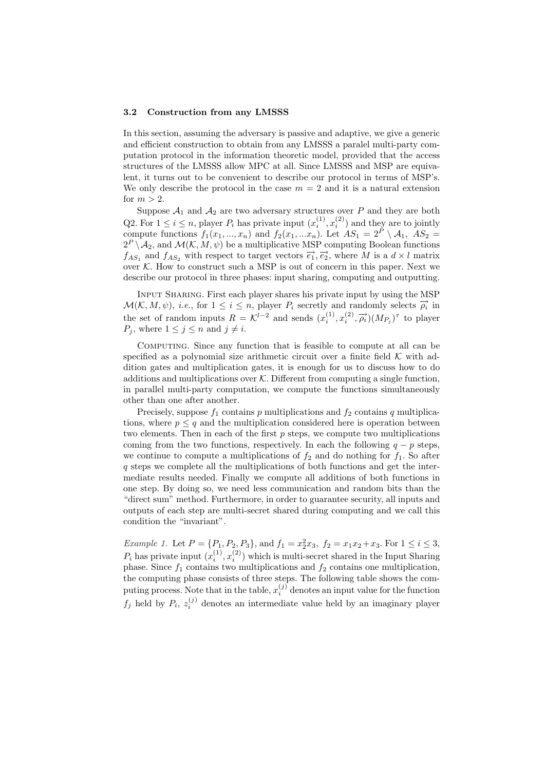#### 3.2 Construction from any LMSSS

In this section, assuming the adversary is passive and adaptive, we give a generic and efficient construction to obtain from any LMSSS a paralel multi-party computation protocol in the information theoretic model, provided that the access structures of the LMSSS allow MPC at all. Since LMSSS and MSP are equivalent, it turns out to be convenient to describe our protocol in terms of MSP's. We only describe the protocol in the case  $m = 2$  and it is a natural extension for  $m > 2$ .

Suppose  $A_1$  and  $A_2$  are two adversary structures over P and they are both Q2. For  $1 \leq i \leq n$ , player  $P_i$  has private input  $(x_i^{(1)}, x_i^{(2)})$  and they are to jointly compute functions  $f_1(x_1, ..., x_n)$  and  $f_2(x_1, ... x_n)$ . Let  $AS_1 = 2^{\tilde{P}} \setminus A_1$ ,  $AS_2 =$  $2^P \setminus \mathcal{A}_2$ , and  $\mathcal{M}(\mathcal{K}, M, \psi)$  be a multiplicative MSP computing Boolean functions  $f_{AS_1}$  and  $f_{AS_2}$  with respect to target vectors  $\overrightarrow{e_1}, \overrightarrow{e_2}$ , where M is a  $d \times l$  matrix over  $K$ . How to construct such a MSP is out of concern in this paper. Next we describe our protocol in three phases: input sharing, computing and outputting.

Input Sharing. First each player shares his private input by using the MSP  $\mathcal{M}(\mathcal{K}, M, \psi)$ , *i.e.*, for  $1 \leq i \leq n$ , player  $P_i$  secretly and randomly selects  $\overrightarrow{\rho_i}$  in the set of random inputs  $R = \mathcal{K}^{l-2}$  and sends  $(x_i^{(1)}, x_i^{(2)}, \overrightarrow{\rho_i})(M_{P_j})^{\tau}$  to player  $P_j$ , where  $1 \leq j \leq n$  and  $j \neq i$ .

Computing. Since any function that is feasible to compute at all can be specified as a polynomial size arithmetic circuit over a finite field  $K$  with addition gates and multiplication gates, it is enough for us to discuss how to do additions and multiplications over  $K$ . Different from computing a single function, in parallel multi-party computation, we compute the functions simultaneously other than one after another.

Precisely, suppose  $f_1$  contains p multiplications and  $f_2$  contains q multiplications, where  $p \leq q$  and the multiplication considered here is operation between two elements. Then in each of the first  $p$  steps, we compute two multiplications coming from the two functions, respectively. In each the following  $q - p$  steps, we continue to compute a multiplications of  $f_2$  and do nothing for  $f_1$ . So after q steps we complete all the multiplications of both functions and get the intermediate results needed. Finally we compute all additions of both functions in one step. By doing so, we need less communication and random bits than the "direct sum" method. Furthermore, in order to guarantee security, all inputs and outputs of each step are multi-secret shared during computing and we call this condition the "invariant".

*Example 1.* Let  $P = \{P_1, P_2, P_3\}$ , and  $f_1 = x_2^2 x_3$ ,  $f_2 = x_1 x_2 + x_3$ . For  $1 \le i \le 3$ ,  $P_i$  has private input  $(x_i^{(1)}, x_i^{(2)})$  which is multi-secret shared in the Input Sharing phase. Since  $f_1$  contains two multiplications and  $f_2$  contains one multiplication, the computing phase consists of three steps. The following table shows the computing process. Note that in the table,  $x_i^{(j)}$  denotes an input value for the function  $f_j$  held by  $P_i$ ,  $z_i^{(j)}$  denotes an intermediate value held by an imaginary player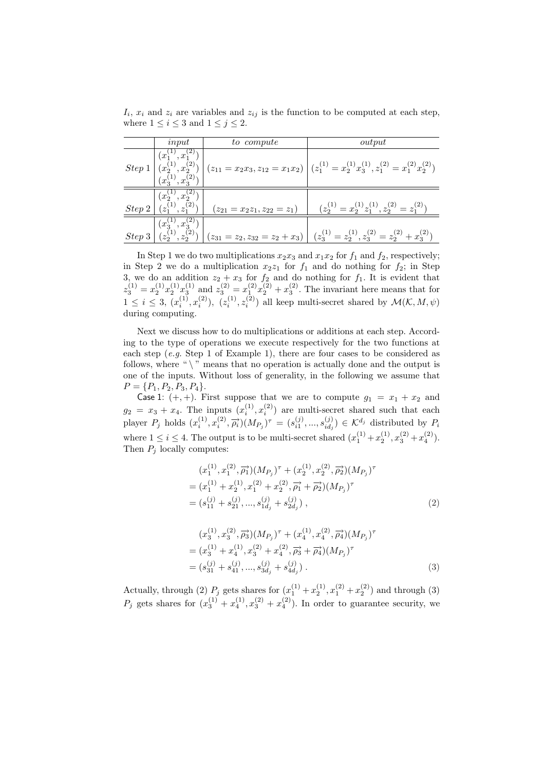$I_i$ ,  $x_i$  and  $z_i$  are variables and  $z_{ij}$  is the function to be computed at each step, where  $1 \leq i \leq 3$  and  $1 \leq j \leq 2$ .

|        | input                    | to compute                                                                                                                 | output                                                                                                                                                                                                                                             |  |  |
|--------|--------------------------|----------------------------------------------------------------------------------------------------------------------------|----------------------------------------------------------------------------------------------------------------------------------------------------------------------------------------------------------------------------------------------------|--|--|
|        |                          |                                                                                                                            | $Step~1\left \begin{array}{cc} (x_2^{(1)},x_2^{(2)}) \\ (x_3^{(1)},x_3^{(2)}) \end{array}\right \left(z_{11}=x_2x_3,z_{12}=x_1x_2\right)\left \begin{array}{cc} (z_1^{(1)}=x_2^{(1)}x_3^{(1)},z_1^{(2)}=x_1^{(2)}x_2^{(2)}) \\ \end{array}\right.$ |  |  |
| Step 2 | $(x_2^{(1)}, x_2^{(2)})$ | $\left  \begin{array}{c} \binom{z_2}{z_1}, \binom{z_2}{z_1} \\ \end{array} \right  \quad (z_{21} = x_2 z_1, z_{22} = z_1)$ | $(z_2^{(1)} = x_2^{(1)} z_1^{(1)}, z_2^{(2)} = z_1^{(2)})$                                                                                                                                                                                         |  |  |
| Step 3 |                          |                                                                                                                            | $\overline{(x_3^{(1)}, x_3^{(2)})}$<br>$\overline{(z_2^{(1)}, z_2^{(2)})}$ $\overline{(z_{31} = z_2, z_{32} = z_2 + x_3)}$ $\overline{(z_3^{(1)} = z_2^{(1)}, z_3^{(2)} = z_2^{(2)} + x_3^{(2)})}$                                                 |  |  |

In Step 1 we do two multiplications  $x_2x_3$  and  $x_1x_2$  for  $f_1$  and  $f_2$ , respectively; in Step 2 we do a multiplication  $x_2z_1$  for  $f_1$  and do nothing for  $f_2$ ; in Step 3, we do an addition  $z_2 + x_3$  for  $f_2$  and do nothing for  $f_1$ . It is evident that  $z_3^{(1)} = x_2^{(1)} x_2^{(1)} x_3^{(1)}$  and  $z_3^{(2)} = x_1^{(2)} x_2^{(2)} + x_3^{(2)}$ . The invariant here means that for  $1 \leq i \leq 3$ ,  $(x_i^{(1)}, x_i^{(2)})$ ,  $(z_i^{(1)}, z_i^{(2)})$  all keep multi-secret shared by  $\mathcal{M}(\mathcal{K}, M, \psi)$ during computing.

Next we discuss how to do multiplications or additions at each step. According to the type of operations we execute respectively for the two functions at each step (e.g. Step 1 of Example 1), there are four cases to be considered as follows, where " $\backslash$ " means that no operation is actually done and the output is one of the inputs. Without loss of generality, in the following we assume that  $P = \{P_1, P_2, P_3, P_4\}.$ 

Case 1:  $(+, +)$ . First suppose that we are to compute  $g_1 = x_1 + x_2$  and  $g_2 = x_3 + x_4$ . The inputs  $(x_i^{(1)}, x_i^{(2)})$  are multi-secret shared such that each player  $P_j$  holds  $(x_i^{(1)}, x_i^{(2)}, \vec{\rho}_i)(M_{P_j})^{\tau} = (s_{i1}^{(j)}, ..., s_{id_j}^{(j)})$  $\mathcal{L}^{(j)}_{id_j}$   $\in \mathcal{K}^{d_j}$  distributed by  $P_i$ where  $1 \le i \le 4$ . The output is to be multi-secret shared  $(x_1^{(1)} + x_2^{(1)}, x_3^{(2)} + x_4^{(2)}$ . Then  $P_j$  locally computes:

$$
(x_1^{(1)}, x_1^{(2)}, \overrightarrow{\rho_1})(M_{P_j})^{\tau} + (x_2^{(1)}, x_2^{(2)}, \overrightarrow{\rho_2})(M_{P_j})^{\tau}
$$
  
=  $(x_1^{(1)} + x_2^{(1)}, x_1^{(2)} + x_2^{(2)}, \overrightarrow{\rho_1} + \overrightarrow{\rho_2})(M_{P_j})^{\tau}$   
=  $(s_{11}^{(j)} + s_{21}^{(j)}, ..., s_{1d_j}^{(j)} + s_{2d_j}^{(j)})$ , (2)

$$
(x_3^{(1)}, x_3^{(2)}, \overrightarrow{\rho_3})(M_{P_j})^{\tau} + (x_4^{(1)}, x_4^{(2)}, \overrightarrow{\rho_4})(M_{P_j})^{\tau}
$$
  
=  $(x_3^{(1)} + x_4^{(1)}, x_3^{(2)} + x_4^{(2)}, \overrightarrow{\rho_3} + \overrightarrow{\rho_4})(M_{P_j})^{\tau}$   
=  $(s_{31}^{(j)} + s_{41}^{(j)}, ..., s_{3d_j}^{(j)} + s_{4d_j}^{(j)})$ . (3)

Actually, through (2)  $P_j$  gets shares for  $(x_1^{(1)} + x_2^{(1)}, x_1^{(2)} + x_2^{(2)})$  and through (3)  $P_j$  gets shares for  $(x_3^{(1)} + x_4^{(1)}, x_3^{(2)} + x_4^{(2)}).$  In order to guarantee security, we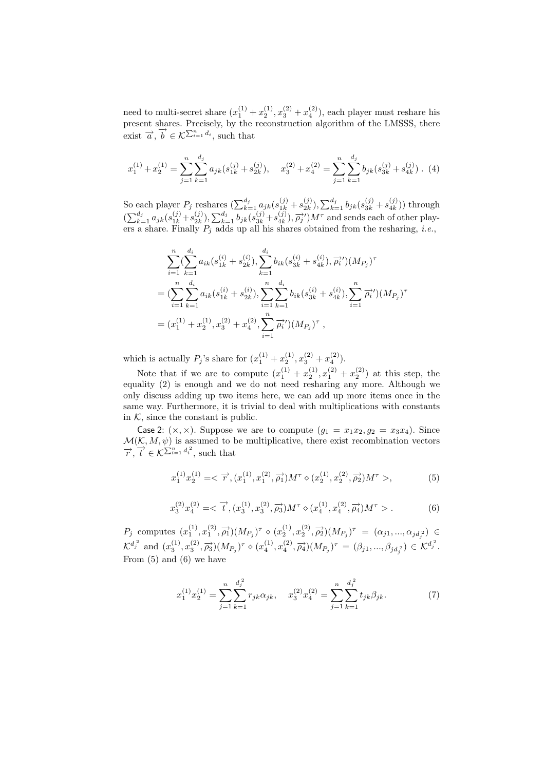need to multi-secret share  $(x_1^{(1)} + x_2^{(1)}, x_3^{(2)} + x_4^{(2)})$ , each player must reshare his present shares. Precisely, by the reconstruction algorithm of the LMSSS, there exist  $\overrightarrow{a}$ ,  $\overrightarrow{b} \in \mathcal{K}^{\sum_{i=1}^{n} d_i}$ , such that

$$
x_1^{(1)} + x_2^{(1)} = \sum_{j=1}^n \sum_{k=1}^{d_j} a_{jk} (s_{1k}^{(j)} + s_{2k}^{(j)}), \quad x_3^{(2)} + x_4^{(2)} = \sum_{j=1}^n \sum_{k=1}^{d_j} b_{jk} (s_{3k}^{(j)} + s_{4k}^{(j)})
$$
 (4)

So each player  $P_j$  reshares  $\left(\sum_{k=1}^{d_j} a_{jk} (s_{1k}^{(j)} + s_{2k}^{(j)}\right)$  $\sum_{k=1}^{(j)} b_{jk} (s_{3k}^{(j)} + s_{4k}^{(j)})$  $\binom{(J)}{4k}$ ) through  $\sum_{k=1}^{d_j} a_{jk} (s_{1k}^{(j)} + s_{2k}^{(j)})$  $\sum_{k=1}^{N} a_{jk}^{(j)}(s)$ <br>  $\sum_{k=1}^{d_j} b_{jk}(s_{3k}^{(j)} + s_{4k}^{(j)})$  $\left(\frac{\ddot{j}}{4k}\right), \overrightarrow{\rho_j}/M^{\tau}$  and sends each of other players a share. Finally  $P_j$  adds up all his shares obtained from the resharing, *i.e.*,

$$
\sum_{i=1}^{n} \left( \sum_{k=1}^{d_i} a_{ik} (s_{1k}^{(i)} + s_{2k}^{(i)}) , \sum_{k=1}^{d_i} b_{ik} (s_{3k}^{(i)} + s_{4k}^{(i)}) , \overrightarrow{\rho_i}^{\prime} \right) (M_{P_j})^{\tau}
$$
  
= 
$$
\left( \sum_{i=1}^{n} \sum_{k=1}^{d_i} a_{ik} (s_{1k}^{(i)} + s_{2k}^{(i)}) , \sum_{i=1}^{n} \sum_{k=1}^{d_i} b_{ik} (s_{3k}^{(i)} + s_{4k}^{(i)}) , \sum_{i=1}^{n} \overrightarrow{\rho_i}^{\prime} \right) (M_{P_j})^{\tau}
$$
  
= 
$$
(x_1^{(1)} + x_2^{(1)}, x_3^{(2)} + x_4^{(2)}, \sum_{i=1}^{n} \overrightarrow{\rho_i}^{\prime}) (M_{P_j})^{\tau} ,
$$

which is actually  $P_j$ 's share for  $(x_1^{(1)} + x_2^{(1)}, x_3^{(2)} + x_4^{(2)}).$ 

Note that if we are to compute  $(x_1^{(1)} + x_2^{(1)}, x_1^{(2)} + x_2^{(2)})$  at this step, the equality (2) is enough and we do not need resharing any more. Although we only discuss adding up two items here, we can add up more items once in the same way. Furthermore, it is trivial to deal with multiplications with constants in  $K$ , since the constant is public.

Case 2:  $(x, x)$ . Suppose we are to compute  $(g_1 = x_1x_2, g_2 = x_3x_4)$ . Since  $\mathcal{M}(\mathcal{K}, M, \psi)$  is assumed to be multiplicative, there exist recombination vectors  $\overrightarrow{r}$ ,  $\overrightarrow{t} \in \mathcal{K}^{\sum_{i=1}^{n} d_i^2}$ , such that

$$
x_1^{(1)}x_2^{(1)} = \langle \overrightarrow{r}, (x_1^{(1)}, x_1^{(2)}, \overrightarrow{\rho_1}) M^{\tau} \diamond (x_2^{(1)}, x_2^{(2)}, \overrightarrow{\rho_2}) M^{\tau} \rangle, \tag{5}
$$

$$
x_3^{(2)}x_4^{(2)} = \langle \overrightarrow{t}, (x_3^{(1)}, x_3^{(2)}, \overrightarrow{\rho_3}) M^{\tau} \diamond (x_4^{(1)}, x_4^{(2)}, \overrightarrow{\rho_4}) M^{\tau} \rangle. \tag{6}
$$

 $P_j$  computes  $(x_1^{(1)}, x_1^{(2)}, \overrightarrow{\rho_1})(M_{P_j})^{\tau} \diamond (x_2^{(1)}, x_2^{(2)}, \overrightarrow{\rho_2})(M_{P_j})^{\tau} = (\alpha_{j1}, ..., \alpha_{jd_j^2}) \in$  $\mathcal{K}^{d_j^2}$  and  $(x_3^{(1)}, x_3^{(2)}, \overrightarrow{\rho_3}) (M_{P_j})^{\tau} \diamond (x_4^{(1)}, x_4^{(2)}, \overrightarrow{\rho_4}) (M_{P_j})^{\tau} = (\beta_{j1}, ..., \beta_{jd_j^2}) \in \mathcal{K}^{d_j^2}$ . From (5) and (6) we have

$$
x_1^{(1)}x_2^{(1)} = \sum_{j=1}^n \sum_{k=1}^{d_j^2} r_{jk}\alpha_{jk}, \quad x_3^{(2)}x_4^{(2)} = \sum_{j=1}^n \sum_{k=1}^{d_j^2} t_{jk}\beta_{jk}.
$$
 (7)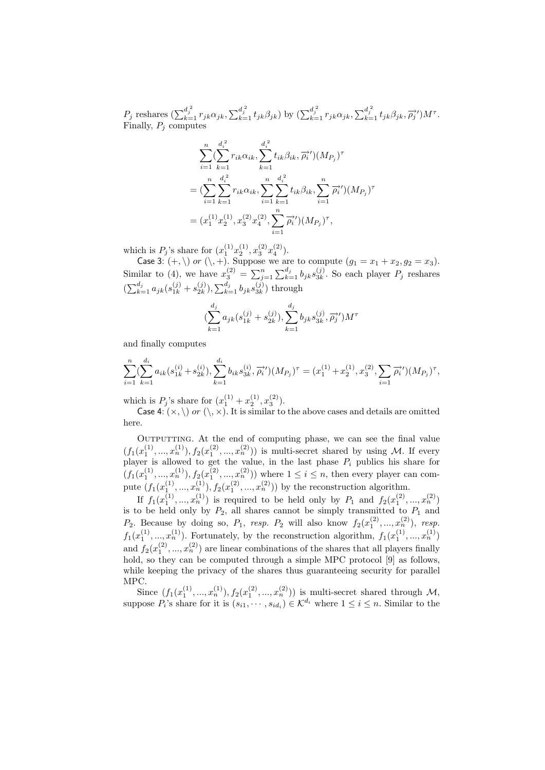$P_j$  reshares  $\left(\sum_{k=1}^{d_j^{\;2}} r_{jk}\alpha_{jk}, \sum_{k=1}^{d_j^{\;2}} t_{jk}\beta_{jk}\right)$  by  $\left(\sum_{k=1}^{d_j^{\;2}} r_{jk}\alpha_{jk}, \sum_{k=1}^{d_j^{\;2}} t_{jk}\beta_{jk}, \overrightarrow{\rho_j}^{\prime}\right)M^{\tau}$ . Finally,  $P_j$  computes

$$
\sum_{i=1}^{n} \left( \sum_{k=1}^{d_i^2} r_{ik} \alpha_{ik}, \sum_{k=1}^{d_i^2} t_{ik} \beta_{ik}, \overrightarrow{\rho_i}^{\prime} \right) (M_{P_j})^{\tau}
$$
  
= 
$$
\left( \sum_{i=1}^{n} \sum_{k=1}^{d_i^2} r_{ik} \alpha_{ik}, \sum_{i=1}^{n} \sum_{k=1}^{d_i^2} t_{ik} \beta_{ik}, \sum_{i=1}^{n} \overrightarrow{\rho_i}^{\prime} \right) (M_{P_j})^{\tau}
$$
  
= 
$$
(x_1^{(1)} x_2^{(1)}, x_3^{(2)} x_4^{(2)}, \sum_{i=1}^{n} \overrightarrow{\rho_i}^{\prime}) (M_{P_j})^{\tau},
$$

which is  $P_j$ 's share for  $(x_1^{(1)}x_2^{(1)}, x_3^{(2)}x_4^{(2)}).$ 

Case 3:  $(+, \setminus)$  or  $(\setminus, +)$ . Suppose we are to compute  $(g_1 = x_1 + x_2, g_2 = x_3)$ . Similar to (4), we have  $x_3^{(2)} = \sum_{j=1}^{n} \sum_{k=1}^{d_j} b_{jk} s_{3k}^{(j)}$  $3k$ . So each player  $P_j$  reshares  $\left(\sum_{k=1}^{d_j} a_{jk} (s_{1k}^{(j)} + s_{2k}^{(j)}\right)$  $\sum_{2k}^{(j)}$ ),  $\sum_{k=1}^{d_j} b_{jk} s_{3k}^{(j)}$  $\binom{J}{3k}$  through

$$
\left(\sum_{k=1}^{d_j} a_{jk}(s_{1k}^{(j)} + s_{2k}^{(j)}), \sum_{k=1}^{d_j} b_{jk}s_{3k}^{(j)}, \overrightarrow{\rho_j})\right)M^{\tau}
$$

and finally computes

$$
\sum_{i=1}^{n} \left( \sum_{k=1}^{d_i} a_{ik} (s_{1k}^{(i)} + s_{2k}^{(i)}) , \sum_{k=1}^{d_i} b_{ik} s_{3k}^{(i)}, \overrightarrow{\rho_i}' \right) (M_{P_j})^{\tau} = (x_1^{(1)} + x_2^{(1)}, x_3^{(2)}, \sum_{i=1}^{n} \overrightarrow{\rho_i}' ) (M_{P_j})^{\tau},
$$

which is  $P_j$ 's share for  $(x_1^{(1)} + x_2^{(1)}, x_3^{(2)})$ .

Case 4:  $(\times, \setminus)$  or  $(\setminus, \times)$ . It is similar to the above cases and details are omitted here.

Outputting. At the end of computing phase, we can see the final value  $(f_1(x_1^{(1)},...,x_n^{(1)}), f_2(x_1^{(2)},...,x_n^{(2)}))$  is multi-secret shared by using M. If every player is allowed to get the value, in the last phase  $P_i$  publics his share for  $(f_1(x_1^{(1)},...,x_n^{(1)}), f_2(x_1^{(2)},...,x_n^{(2)}))$  where  $1 \leq i \leq n$ , then every player can compute  $(f_1(x_1^{(1)},...,x_n^{(1)}), f_2(x_1^{(2)},...,x_n^{(2)}))$  by the reconstruction algorithm.

If  $f_1(x_1^{(1)},...,x_n^{(1)})$  is required to be held only by  $P_1$  and  $f_2(x_1^{(2)},...,x_n^{(2)})$ is to be held only by  $P_2$ , all shares cannot be simply transmitted to  $P_1$  and  $P_2$ . Because by doing so,  $P_1$ , resp.  $P_2$  will also know  $f_2(x_1^{(2)},...,x_n^{(2)})$ , resp.  $f_1(x_1^{(1)},...,x_n^{(1)})$ . Fortunately, by the reconstruction algorithm,  $f_1(x_1^{(1)},...,x_n^{(1)})$ and  $f_2(x_1^{(2)},...,x_n^{(2)})$  are linear combinations of the shares that all players finally hold, so they can be computed through a simple MPC protocol [9] as follows, while keeping the privacy of the shares thus guaranteeing security for parallel MPC.

Since  $(f_1(x_1^{(1)},...,x_n^{(1)}), f_2(x_1^{(2)},...,x_n^{(2)}))$  is multi-secret shared through M, suppose  $P_i$ 's share for it is  $(s_{i1}, \dots, s_{id_i}) \in \mathcal{K}^{d_i}$  where  $1 \leq i \leq n$ . Similar to the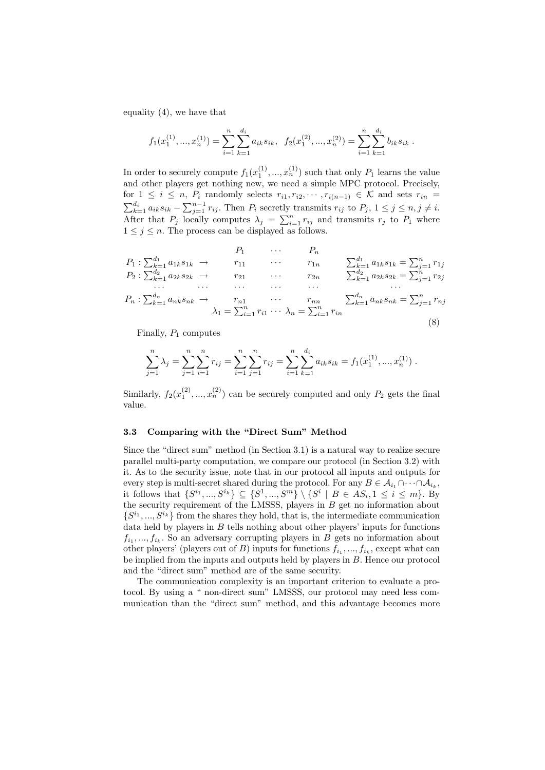equality (4), we have that

$$
f_1(x_1^{(1)},...,x_n^{(1)}) = \sum_{i=1}^n \sum_{k=1}^{d_i} a_{ik} s_{ik}, \quad f_2(x_1^{(2)},...,x_n^{(2)}) = \sum_{i=1}^n \sum_{k=1}^{d_i} b_{ik} s_{ik}.
$$

In order to securely compute  $f_1(x_1^{(1)},...,x_n^{(1)})$  such that only  $P_1$  learns the value and other players get nothing new, we need a simple MPC protocol. Precisely, for  $1 \leq i \leq n$ ,  $P_i$  randomly selects  $r_{i1}, r_{i2}, \dots, r_{i(n-1)} \in \mathcal{K}$  and sets  $r_{in} = \sum_{k=1}^{d_i} a_{ik} s_{ik} - \sum_{j=1}^{n-1} r_{ij}$ . Then  $P_i$  secretly transmits  $r_{ij}$  to  $P_j$ ,  $1 \leq j \leq n, j \neq i$ .  $\sum_{k=1}^{\infty} u_k s_{ik}$   $\sum_{j=1}^{\infty} r_{ij}$ . Then  $r_i$  secretly transmits  $r_{ij}$  to  $r_j$ ,  $1 \leq j \leq n, j \neq i$ .<br>After that  $P_j$  locally computes  $\lambda_j = \sum_{i=1}^n r_{ij}$  and transmits  $r_j$  to  $P_1$  where  $1 \leq j \leq n$ . The process can be displayed as follows.

$$
P_{1} \cdots P_{n}
$$
\n
$$
P_{2} : \sum_{k=1}^{d_{1}} a_{1k} s_{1k} \rightarrow r_{11} \cdots r_{1n}
$$
\n
$$
P_{2} : \sum_{k=1}^{d_{2}} a_{2k} s_{2k} \rightarrow r_{21} \cdots r_{2n}
$$
\n
$$
P_{n} : \sum_{k=1}^{d_{n}} a_{nk} s_{nk} \rightarrow r_{n1} \cdots r_{2n}
$$
\n
$$
P_{n} : \sum_{k=1}^{d_{n}} a_{nk} s_{nk} \rightarrow r_{n1} \cdots r_{nn}
$$
\n
$$
\lambda_{1} = \sum_{i=1}^{n} r_{i1} \cdots \lambda_{n} = \sum_{i=1}^{n} r_{in}
$$
\n
$$
P_{n} \cdots P_{n} \qquad P_{n} \cdots P_{n} \qquad P_{n} \qquad P_{n} \cdots P_{n} \qquad P_{n} \qquad P_{n} \qquad P_{n} \qquad P_{n} \qquad P_{n} \qquad P_{n} \qquad P_{n} \qquad P_{n} \qquad P_{n} \qquad P_{n} \qquad P_{n} \qquad P_{n} \qquad P_{n} \qquad P_{n} \qquad P_{n} \qquad P_{n} \qquad P_{n} \qquad P_{n} \qquad P_{n} \qquad P_{n} \qquad P_{n} \qquad P_{n} \qquad P_{n} \qquad P_{n} \qquad P_{n} \qquad P_{n} \qquad P_{n} \qquad P_{n} \qquad P_{n} \qquad P_{n} \qquad P_{n} \qquad P_{n} \qquad P_{n} \qquad P_{n} \qquad P_{n} \qquad P_{n} \qquad P_{n} \qquad P_{n} \qquad P_{n} \qquad P_{n} \qquad P_{n} \qquad P_{n} \qquad P_{n} \qquad P_{n} \qquad P_{n} \qquad P_{n} \qquad P_{n} \qquad P_{n} \qquad P_{n} \qquad P_{n} \qquad P_{n} \qquad P_{n} \qquad P_{n} \qquad P_{n} \qquad P_{n} \qquad P_{n} \qquad P_{n} \qquad P_{n} \qquad P_{n} \qquad P_{n} \qquad P_{n} \qquad P_{n} \qquad P_{n} \
$$

Finally,  $P_1$  computes

$$
\sum_{j=1}^{n} \lambda_j = \sum_{j=1}^{n} \sum_{i=1}^{n} r_{ij} = \sum_{i=1}^{n} \sum_{j=1}^{n} r_{ij} = \sum_{i=1}^{n} \sum_{k=1}^{d_i} a_{ik} s_{ik} = f_1(x_1^{(1)}, ..., x_n^{(1)}) .
$$

Similarly,  $f_2(x_1^{(2)},...,x_n^{(2)})$  can be securely computed and only  $P_2$  gets the final value.

### 3.3 Comparing with the "Direct Sum" Method

Since the "direct sum" method (in Section 3.1) is a natural way to realize secure parallel multi-party computation, we compare our protocol (in Section 3.2) with it. As to the security issue, note that in our protocol all inputs and outputs for every step is multi-secret shared during the protocol. For any  $B \in \mathcal{A}_{i_1} \cap \cdots \cap \mathcal{A}_{i_k}$ , it follows that  $\{S^{i_1},...,S^{i_k}\} \subseteq \{S^1,...,S^m\} \setminus \{S^i \mid B \in AS_i, 1 \le i \le m\}$ . By the security requirement of the LMSSS, players in  $B$  get no information about  $\{S^{i_1},...,S^{i_k}\}\$ from the shares they hold, that is, the intermediate communication data held by players in  $B$  tells nothing about other players' inputs for functions  $f_{i_1},..., f_{i_k}$ . So an adversary corrupting players in B gets no information about other players' (players out of B) inputs for functions  $f_{i_1},..., f_{i_k}$ , except what can be implied from the inputs and outputs held by players in  $B$ . Hence our protocol and the "direct sum" method are of the same security.

The communication complexity is an important criterion to evaluate a protocol. By using a " non-direct sum" LMSSS, our protocol may need less communication than the "direct sum" method, and this advantage becomes more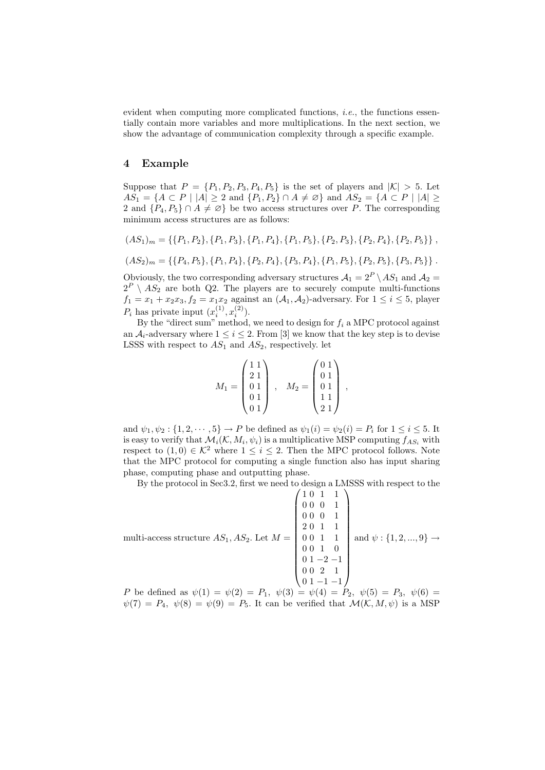evident when computing more complicated functions, *i.e.*, the functions essentially contain more variables and more multiplications. In the next section, we show the advantage of communication complexity through a specific example.

### 4 Example

Suppose that  $P = \{P_1, P_2, P_3, P_4, P_5\}$  is the set of players and  $|K| > 5$ . Let  $AS_1 = \{A \subset P \mid |A| \geq 2 \text{ and } \{P_1, P_2\} \cap A \neq \emptyset \}$  and  $AS_2 = \{A \subset P \mid |A| \geq 2 \}$ 2 and  $\{P_4, P_5\} \cap A \neq \emptyset$  be two access structures over P. The corresponding minimum access structures are as follows:

$$
(AS_1)_m = \{ \{P_1, P_2\}, \{P_1, P_3\}, \{P_1, P_4\}, \{P_1, P_5\}, \{P_2, P_3\}, \{P_2, P_4\}, \{P_2, P_5\} \},
$$

$$
(AS_2)_m = \{ \{P_4, P_5\}, \{P_1, P_4\}, \{P_2, P_4\}, \{P_3, P_4\}, \{P_1, P_5\}, \{P_2, P_5\}, \{P_3, P_5\} \}.
$$

Obviously, the two corresponding adversary structures  $A_1 = 2^P \setminus AS_1$  and  $A_2 =$  $2^P \setminus AS_2$  are both Q2. The players are to securely compute multi-functions  $f_1 = x_1 + x_2x_3, f_2 = x_1x_2$  against an  $(\mathcal{A}_1, \mathcal{A}_2)$ -adversary. For  $1 \leq i \leq 5$ , player  $P_i$  has private input  $(x_i^{(1)}, x_i^{(2)})$ .

By the "direct sum" method, we need to design for  $f_i$  a MPC protocol against an  $A_i$ -adversary where  $1 \leq i \leq 2$ . From [3] we know that the key step is to devise LSSS with respect to  $AS_1$  and  $AS_2$ , respectively. let

$$
M_1 = \begin{pmatrix} 1 & 1 \\ 2 & 1 \\ 0 & 1 \\ 0 & 1 \\ 0 & 1 \end{pmatrix} , \quad M_2 = \begin{pmatrix} 0 & 1 \\ 0 & 1 \\ 0 & 1 \\ 1 & 1 \\ 2 & 1 \end{pmatrix} ,
$$

and  $\psi_1, \psi_2 : \{1, 2, \dots, 5\} \to P$  be defined as  $\psi_1(i) = \psi_2(i) = P_i$  for  $1 \le i \le 5$ . It is easy to verify that  $\mathcal{M}_i(\mathcal{K}, M_i, \psi_i)$  is a multiplicative MSP computing  $f_{AS_i}$  with respect to  $(1,0) \in \mathcal{K}^2$  where  $1 \leq i \leq 2$ . Then the MPC protocol follows. Note that the MPC protocol for computing a single function also has input sharing phase, computing phase and outputting phase.

By the protocol in Sec3.2, first we need to design a LMSSS with respect to the

$$
\text{multi-access structure } AS_1, AS_2. \text{ Let } M = \begin{pmatrix} 1 & 0 & 1 & 1 \\ 0 & 0 & 0 & 1 \\ 0 & 0 & 0 & 1 \\ 2 & 0 & 1 & 1 \\ 0 & 0 & 1 & 1 \\ 0 & 0 & 1 & 0 \\ 0 & 1 & -2 & -1 \\ 0 & 0 & 2 & 1 \\ 0 & 1 & -1 & -1 \end{pmatrix} \text{ and } \psi : \{1, 2, ..., 9\} \to
$$

P be defined as  $\psi(1) = \psi(2) = P_1$ ,  $\psi(3) = \psi(4) = P_2$ ,  $\psi(5) = P_3$ ,  $\psi(6) =$  $\psi(7) = P_4$ ,  $\psi(8) = \psi(9) = P_5$ . It can be verified that  $\mathcal{M}(\mathcal{K}, M, \psi)$  is a MSP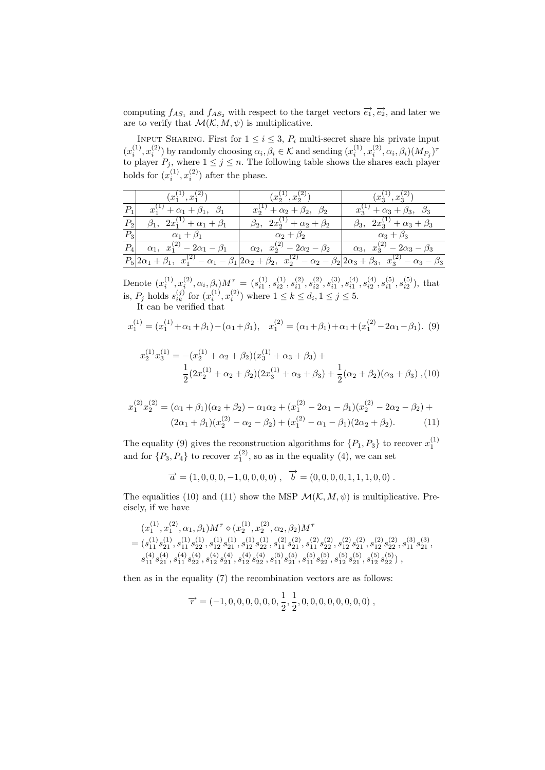computing  $f_{AS_1}$  and  $f_{AS_2}$  with respect to the target vectors  $\vec{e_1}, \vec{e_2}$ , and later we are to verify that  $\mathcal{M}(\mathcal{K}, M, \psi)$  is multiplicative.

INPUT SHARING. First for  $1 \leq i \leq 3$ ,  $P_i$  multi-secret share his private input  $(x_i^{(1)}, x_i^{(2)})$  by randomly choosing  $\alpha_i, \beta_i \in \mathcal{K}$  and sending  $(x_i^{(1)}, x_i^{(2)}, \alpha_i, \beta_i)(M_{P_j})^{\tau}$ to player  $P_j$ , where  $1 \leq j \leq n$ . The following table shows the shares each player holds for  $(x_i^{(1)}, x_i^{(2)})$  after the phase.

|       | $(x_1^{(1)}, x_1^{(2)})$                       | $(x_2^{(1)}, x_2^{(2)})$                    | $(x_3^{(1)}, x_3^{(2)})$                                                                                                                        |
|-------|------------------------------------------------|---------------------------------------------|-------------------------------------------------------------------------------------------------------------------------------------------------|
| $P_1$ | $x_1^{(1)} + \alpha_1 + \beta_1, \ \beta_1$    | $x_2^{(1)} + \alpha_2 + \beta_2, \ \beta_2$ | $x_3^{(1)} + \alpha_3 + \beta_3, \ \beta_3$                                                                                                     |
| $P_2$ | $\beta_1, \ \ 2x_1^{(1)} + \alpha_1 + \beta_1$ | $\beta_2, \ \ 2x_2^{(1)}+\alpha_2+\beta_2$  | $\beta_3$ , $2x_3^{(1)} + \alpha_3 + \beta_3$                                                                                                   |
|       | $\overline{P_3}$ $\alpha_1 + \beta_1$          | $\alpha_2+\beta_2$                          | $\alpha_3+\beta_3$                                                                                                                              |
| $P_4$ | $\alpha_1, x_1^{(2)} - 2\alpha_1 - \beta_1$    | $\alpha_2, x_2^{(2)} - 2\alpha_2 - \beta_2$ | $\alpha_3, x_3^{(2)} - 2\alpha_3 - \beta_3$                                                                                                     |
|       |                                                |                                             | $P_5 2\alpha_1+\beta_1, x_1^{(2)}-\alpha_1-\beta_1 2\alpha_2+\beta_2, x_2^{(2)}-\alpha_2-\beta_2 2\alpha_3+\beta_3, x_3^{(2)}-\alpha_3-\beta_3$ |

Denote  $(x_i^{(1)}, x_i^{(2)}, \alpha_i, \beta_i)M^{\tau} = (s_{i1}^{(1)}, s_{i2}^{(1)}, s_{i1}^{(2)}, s_{i2}^{(3)}, s_{i1}^{(3)}, s_{i1}^{(4)}, s_{i2}^{(5)}, s_{i1}^{(5)}, s_{i2}^{(5)})$ , that is,  $P_j$  holds  $s_{ik}^{(j)}$  for  $(x_i^{(1)}, x_i^{(2)})$  where  $1 \le k \le d_i, 1 \le j \le 5$ .

It can be verified that

$$
x_1^{(1)} = (x_1^{(1)} + \alpha_1 + \beta_1) - (\alpha_1 + \beta_1), \quad x_1^{(2)} = (\alpha_1 + \beta_1) + \alpha_1 + (x_1^{(2)} - 2\alpha_1 - \beta_1). \tag{9}
$$

$$
x_2^{(1)}x_3^{(1)} = -(x_2^{(1)} + \alpha_2 + \beta_2)(x_3^{(1)} + \alpha_3 + \beta_3) +
$$
  
\n
$$
\frac{1}{2}(2x_2^{(1)} + \alpha_2 + \beta_2)(2x_3^{(1)} + \alpha_3 + \beta_3) + \frac{1}{2}(\alpha_2 + \beta_2)(\alpha_3 + \beta_3)
$$
, (10)

$$
x_1^{(2)}x_2^{(2)} = (\alpha_1 + \beta_1)(\alpha_2 + \beta_2) - \alpha_1\alpha_2 + (x_1^{(2)} - 2\alpha_1 - \beta_1)(x_2^{(2)} - 2\alpha_2 - \beta_2) + (2\alpha_1 + \beta_1)(x_2^{(2)} - \alpha_2 - \beta_2) + (x_1^{(2)} - \alpha_1 - \beta_1)(2\alpha_2 + \beta_2).
$$
 (11)

The equality (9) gives the reconstruction algorithms for  $\{P_1, P_3\}$  to recover  $x_1^{(1)}$ and for  $\{P_3, P_4\}$  to recover  $x_1^{(2)}$ , so as in the equality (4), we can set

$$
\overrightarrow{a} = (1, 0, 0, 0, -1, 0, 0, 0, 0), \overrightarrow{b} = (0, 0, 0, 0, 1, 1, 1, 0, 0).
$$

The equalities (10) and (11) show the MSP  $\mathcal{M}(\mathcal{K}, M, \psi)$  is multiplicative. Precisely, if we have

$$
(x_1^{(1)}, x_1^{(2)}, \alpha_1, \beta_1)M^\tau \diamond (x_2^{(1)}, x_2^{(2)}, \alpha_2, \beta_2)M^\tau = (s_{11}^{(1)}s_{21}^{(1)}, s_{11}^{(1)}s_{22}^{(1)}, s_{12}^{(1)}s_{21}^{(1)}, s_{12}^{(1)}s_{22}^{(1)}, s_{11}^{(1)}s_{21}^{(2)}, s_{11}^{(2)}s_{22}^{(2)}, s_{12}^{(2)}s_{21}^{(2)}, s_{12}^{(2)}s_{21}^{(2)}, s_{12}^{(2)}s_{22}^{(2)}, s_{11}^{(3)}s_{21}^{(3)}, s_{11}^{(4)}s_{21}^{(4)}, s_{11}^{(4)}s_{22}^{(4)}, s_{12}^{(4)}s_{21}^{(4)}, s_{12}^{(4)}s_{22}^{(4)}, s_{11}^{(5)}s_{22}^{(5)}, s_{11}^{(5)}s_{22}^{(5)}, s_{12}^{(5)}s_{21}^{(5)}, s_{12}^{(5)}s_{22}^{(5)}),
$$

then as in the equality (7) the recombination vectors are as follows:

$$
\overrightarrow{r} = (-1, 0, 0, 0, 0, 0, 0, \frac{1}{2}, \frac{1}{2}, 0, 0, 0, 0, 0, 0, 0, 0),
$$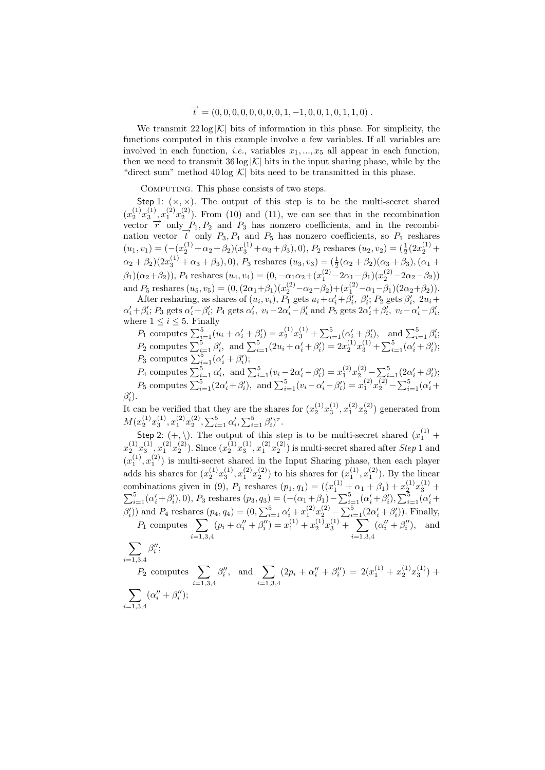# $\overrightarrow{t} = (0, 0, 0, 0, 0, 0, 0, 0, 1, -1, 0, 0, 1, 0, 1, 1, 0)$ .

We transmit  $22 \log |\mathcal{K}|$  bits of information in this phase. For simplicity, the functions computed in this example involve a few variables. If all variables are involved in each function, *i.e.*, variables  $x_1, ..., x_5$  all appear in each function, then we need to transmit  $36 \log |\mathcal{K}|$  bits in the input sharing phase, while by the "direct sum" method  $40 \log |\mathcal{K}|$  bits need to be transmitted in this phase.

COMPUTING. This phase consists of two steps.

Step 1:  $(x, x)$ . The output of this step is to be the multi-secret shared  $(x_2^{(1)}x_3^{(1)}, x_1^{(2)}x_2^{(2)})$ . From (10) and (11), we can see that in the recombination vector  $\vec{r}$  only  $P_1, P_2$  and  $P_3$  has nonzero coefficients, and in the recombination vector  $\vec{t}$  only  $P_3, P_4$  and  $P_5$  has nonzero coefficients, so  $P_1$  reshares  $(u_1, v_1) = (-(x_2^{(1)} + \alpha_2 + \beta_2)(x_3^{(1)} + \alpha_3 + \beta_3), 0), P_2$  reshares  $(u_2, v_2) = (\frac{1}{2}(2x_2^{(1)} +$  $\alpha_2 + \beta_2(2x_3^{(1)} + \alpha_3 + \beta_3), 0$ ,  $P_3$  reshares  $(u_3, v_3) = (\frac{1}{2}(\alpha_2 + \beta_2)(\alpha_3 + \beta_3), (\alpha_1 + \beta_2)(\alpha_3 + \beta_3))$  $(\beta_1)(\alpha_2+\beta_2)$ ,  $P_4$  reshares  $(u_4, v_4) = (0, -\alpha_1\alpha_2 + (x_1^{(2)} - 2\alpha_1 - \beta_1)(x_2^{(2)} - 2\alpha_2 - \beta_2))$ and  $P_5$  reshares  $(u_5, v_5) = (0, (2\alpha_1 + \beta_1)(x_2^{(2)} - \alpha_2 - \beta_2) + (x_1^{(2)} - \alpha_1 - \beta_1)(2\alpha_2 + \beta_2)).$ 

After resharing, as shares of  $(u_i, v_i)$ ,  $P_1$  gets  $u_i + \alpha'_i + \beta'_i$ ,  $\beta'_i$ ;  $P_2$  gets  $\beta'_i$ ,  $2u_i +$  $\alpha'_i + \beta'_i$ ;  $P_3$  gets  $\alpha'_i + \beta'_i$ ;  $P_4$  gets  $\alpha'_i$ ,  $v_i - 2\alpha'_i - \beta'_i$  and  $P_5$  gets  $2\alpha'_i + \beta'_i$ ,  $v_i - \alpha'_i - \beta'_i$ , where  $1 \leq i \leq 5$ . Finally

 $P_1$  computes  $\sum_{i=1}^{5} (u_i + \alpha'_i + \beta'_i) = x_2^{(1)} x_3^{(1)} + \sum_{i=1}^{5} (\alpha'_i + \beta'_i)$ , and  $\sum_{i=1}^{5} \beta'_i$ ;<br>  $P_2$  computes  $\sum_{i=1}^{5} \beta'_i$ , and  $\sum_{i=1}^{5} (2u_i + \alpha'_i + \beta'_i) = 2x_2^{(1)} x_3^{(1)} + \sum_{i=1}^{5} (\alpha'_i + \beta'_i)$ ;<br>  $P_3$  computes

 $\beta_i'.$ i

It can be verified that they are the shares for  $(x_2^{(1)}x_3^{(1)}, x_1^{(2)}x_2^{(2)})$  generated from  $M(x_2^{(1)}x_3^{(1)}, x_1^{(2)}x_2^{(2)}, \sum_{i=1}^5 \alpha'_i, \sum_{i=1}^5 \beta'_i)^\tau.$ 

Step 2:  $(+, \backslash)$ . The output of this step is to be multi-secret shared  $(x_1^{(1)} +$  $x_2^{(1)}x_3^{(1)}, x_1^{(2)}x_2^{(2)}$ ). Since  $(x_2^{(1)}x_3^{(1)}, x_1^{(2)}x_2^{(2)})$  is multi-secret shared after *Step* 1 and  $(x_1^{(1)}, x_1^{(2)})$  is multi-secret shared in the Input Sharing phase, then each player adds his shares for  $(x_2^{(1)}x_3^{(1)}, x_1^{(2)}x_2^{(2)})$  to his shares for  $(x_1^{(1)}, x_1^{(2)})$ . By the linear combinations given in (9),  $P_1$  reshares  $(p_1, q_1) = ((x_1^{(1)} + \alpha_1 + \beta_1) + x_2^{(1)}x_3^{(1)} + \sum_{i=1}^5 (\alpha_i' + \beta_i'), 0), P_3$  reshares  $(p_3, q_3) = (-(\alpha_1 + \beta_1) - \sum_{i=1}^5 (\alpha_i' + \beta_i'), \sum_{i=1}^5 (\alpha_i' + \beta_i'))$  $\mathcal{L}_{i=1}^{(a_i + \beta_i)}, \mathcal{L}_{i=1}^{(b_i + \beta_i)}, \mathcal{L}_{i=1}^{(c_i + \beta_i)}, \mathcal{L}_{i=1}^{(c_i + \beta_i)}, \mathcal{L}_{i=1}^{(c_i + \beta_i)}, \mathcal{L}_{i=1}^{(c_i + \beta_i)}, \mathcal{L}_{i=1}^{(c_i + \beta_i)}, \mathcal{L}_{i=1}^{(c_i + \beta_i)}, \mathcal{L}_{i=1}^{(c_i + \beta_i)}, \mathcal{L}_{i=1}^{(c_i + \beta_i)}, \mathcal{L}_{i=1}^{(c_i + \beta_i)}, \mathcal{L}_{i=1}^{$  $(p_i + \alpha''_i + \beta''_i) = x_1^{(1)} + x_2^{(1)}x_3^{(1)} +$  $\frac{-1}{\sqrt{2}}$  $(\alpha''_i + \beta''_i)$ , and

$$
\sum_{i=1,3,4}\beta''_i;
$$

 $i=1,3,4$ 

 $i=1,3,4$ <br>  $P_2$  computes  $\sum$  $i=1,3,4$  $\beta''_i$ , and  $\sum$  $i=1,3,4$  $(2p_i + \alpha''_i + \beta''_i) = 2(x_1^{(1)} + x_2^{(1)}x_3^{(1)}) +$  $\overline{\phantom{a}}$  $i = 1, 3, 4$  $(\alpha''_i + \beta''_i);$ 

 $i=1,3,4$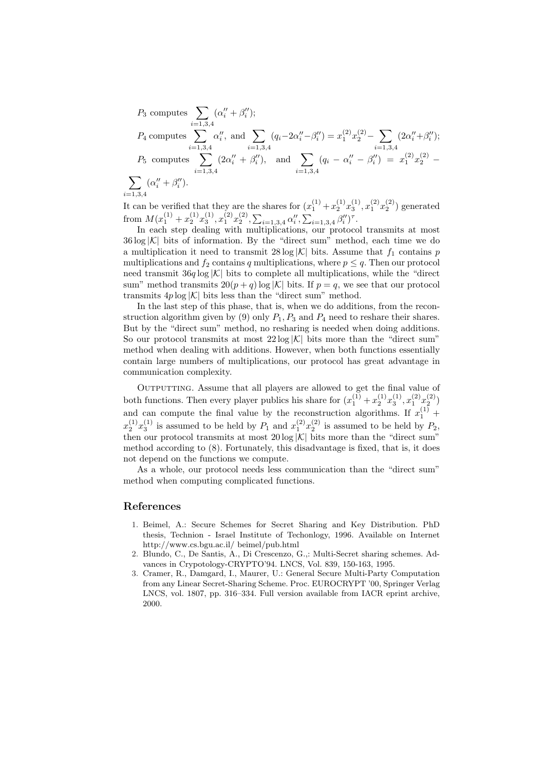$P_3$  computes  $\sum$  $i=1,3,4$  $(\alpha''_i + \beta''_i);$  $P_4$  computes  $\sum_{n=1,3}^{\infty}$  $i=1,3,4$  $\alpha''_i$ , and  $\sum$  $i=1,3,4$  $(q_i-2\alpha''_i-\beta''_i) = x_1^{(2)}x_2^{(2)} \overline{\phantom{a}}$  $i=1,3,4$  $(2\alpha''_i+\beta''_i);$  $P_5$  computes  $\sum$  $i=1,3,4$  $i=1,3,4$ <br>  $(2\alpha''_i + \beta''_i)$ , and  $\sum$  $i=1,3,4$  $(q_i - \alpha''_i - \beta''_i) = x_1^{(2)}x_2^{(2)} \overline{\phantom{a}}$  $i = 1, 3, 4$  $(\alpha''_i + \beta''_i).$ 

It can be verified that they are the shares for  $(x_1^{(1)} + x_2^{(1)}x_3^{(1)}, x_1^{(2)}x_2^{(2)})$  generated from  $M(x_1^{(1)} + x_2^{(1)}x_3^{(1)}, x_1^{(2)}x_2^{(2)}, \sum_{i=1,3,4} \alpha_i^{\prime\prime}, \sum_{i=1}^{\infty}$  $_{i=1,3,4}$   $\beta''_i$ <sup> $\tau$ </sup>.

In each step dealing with multiplications, our protocol transmits at most  $36 \log |\mathcal{K}|$  bits of information. By the "direct sum" method, each time we do a multiplication it need to transmit  $28 \log |\mathcal{K}|$  bits. Assume that  $f_1$  contains p multiplications and  $f_2$  contains q multiplications, where  $p \leq q$ . Then our protocol need transmit  $36q \log |\mathcal{K}|$  bits to complete all multiplications, while the "direct sum" method transmits  $20(p+q) \log |\mathcal{K}|$  bits. If  $p = q$ , we see that our protocol transmits  $4p \log |\mathcal{K}|$  bits less than the "direct sum" method.

In the last step of this phase, that is, when we do additions, from the reconstruction algorithm given by (9) only  $P_1$ ,  $P_3$  and  $P_4$  need to reshare their shares. But by the "direct sum" method, no resharing is needed when doing additions. So our protocol transmits at most  $22 \log |\mathcal{K}|$  bits more than the "direct sum" method when dealing with additions. However, when both functions essentially contain large numbers of multiplications, our protocol has great advantage in communication complexity.

OUTPUTTING. Assume that all players are allowed to get the final value of both functions. Then every player publics his share for  $(x_1^{(1)} + x_2^{(1)}x_3^{(1)}, x_1^{(2)}x_2^{(2)})$ and can compute the final value by the reconstruction algorithms. If  $x_1^{(1)}$  +  $x_2^{(1)}x_3^{(1)}$  is assumed to be held by  $P_1$  and  $x_1^{(2)}x_2^{(2)}$  is assumed to be held by  $P_2$ , then our protocol transmits at most  $20 \log |\mathcal{K}|$  bits more than the "direct sum" method according to (8). Fortunately, this disadvantage is fixed, that is, it does not depend on the functions we compute.

As a whole, our protocol needs less communication than the "direct sum" method when computing complicated functions.

### References

- 1. Beimel, A.: Secure Schemes for Secret Sharing and Key Distribution. PhD thesis, Technion - Israel Institute of Techonlogy, 1996. Available on Internet http://www.cs.bgu.ac.il/ beimel/pub.html
- 2. Blundo, C., De Santis, A., Di Crescenzo, G.,: Multi-Secret sharing schemes. Advances in Crypotology-CRYPTO'94. LNCS, Vol. 839, 150-163, 1995.
- 3. Cramer, R., Damgard, I., Maurer, U.: General Secure Multi-Party Computation from any Linear Secret-Sharing Scheme. Proc. EUROCRYPT '00, Springer Verlag LNCS, vol. 1807, pp. 316–334. Full version available from IACR eprint archive, 2000.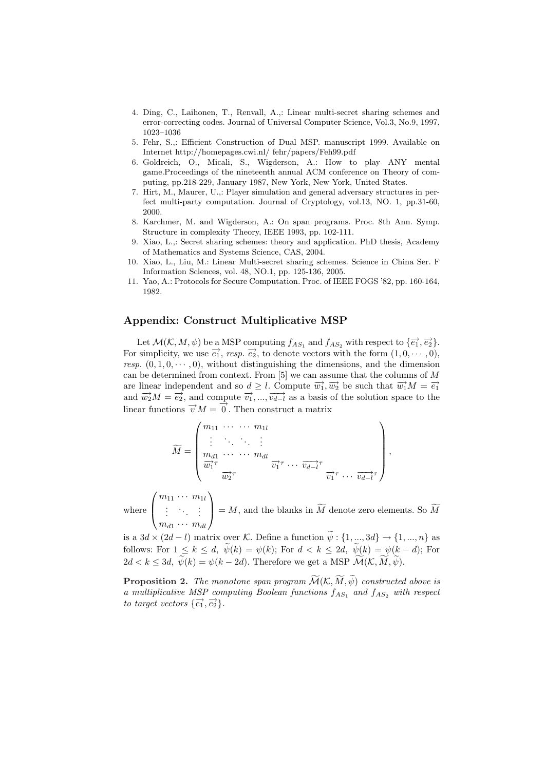- 4. Ding, C., Laihonen, T., Renvall, A.,: Linear multi-secret sharing schemes and error-correcting codes. Journal of Universal Computer Science, Vol.3, No.9, 1997, 1023–1036
- 5. Fehr, S.,: Efficient Construction of Dual MSP. manuscript 1999. Available on Internet http://homepages.cwi.nl/ fehr/papers/Feh99.pdf
- 6. Goldreich, O., Micali, S., Wigderson, A.: How to play ANY mental game.Proceedings of the nineteenth annual ACM conference on Theory of computing, pp.218-229, January 1987, New York, New York, United States.
- 7. Hirt, M., Maurer, U.,: Player simulation and general adversary structures in perfect multi-party computation. Journal of Cryptology, vol.13, NO. 1, pp.31-60, 2000.
- 8. Karchmer, M. and Wigderson, A.: On span programs. Proc. 8th Ann. Symp. Structure in complexity Theory, IEEE 1993, pp. 102-111.
- 9. Xiao, L.,: Secret sharing schemes: theory and application. PhD thesis, Academy of Mathematics and Systems Science, CAS, 2004.
- 10. Xiao, L., Liu, M.: Linear Multi-secret sharing schemes. Science in China Ser. F Information Sciences, vol. 48, NO.1, pp. 125-136, 2005.
- 11. Yao, A.: Protocols for Secure Computation. Proc. of IEEE FOGS '82, pp. 160-164, 1982.

# Appendix: Construct Multiplicative MSP

 $\mathbf{r}$ 

 $\overline{a}$ 

Let  $\mathcal{M}(\mathcal{K}, M, \psi)$  be a MSP computing  $f_{AS_1}$  and  $f_{AS_2}$  with respect to  $\{\overrightarrow{e_1}, \overrightarrow{e_2}\}$ . For simplicity, we use  $\overrightarrow{e_1}$ , resp.  $\overrightarrow{e_2}$ , to denote vectors with the form  $(1, 0, \dots, 0)$ , resp.  $(0, 1, 0, \dots, 0)$ , without distinguishing the dimensions, and the dimension can be determined from context. From  $[5]$  we can assume that the columns of  $M$ are linear independent and so  $d \geq l$ . Compute  $\overrightarrow{w_1}, \overrightarrow{w_2}$  be such that  $\overrightarrow{w_1}M = \overrightarrow{e_1}$ and  $\overrightarrow{w_2}M = \overrightarrow{e_2}$ , and compute  $\overrightarrow{v_1}, \dots, \overrightarrow{v_{d-l}}$  as a basis of the solution space to the linear functions  $\vec{v}M = \vec{0}$ . Then construct a matrix

$$
\widetilde{M} = \begin{pmatrix} m_{11} & \cdots & \cdots & m_{1l} \\ \vdots & \ddots & \ddots & \vdots \\ m_{d1} & \cdots & \cdots & m_{dl} \\ \overrightarrow{w_1}^{\tau} & & \overrightarrow{v_1}^{\tau} & \cdots & \overrightarrow{v_{d-l}}^{\tau} \\ \overrightarrow{w_2}^{\tau} & & & \overrightarrow{v_1}^{\tau} & \cdots & \overrightarrow{v_{d-l}}^{\tau} \end{pmatrix},
$$

where  $\overline{ }$  $m_{11} \cdots m_{1l}$ . . . . . . . . .  $m_{d1} \cdots m_{dl}$  $= M$ , and the blanks in  $\widetilde{M}$  denote zero elements. So  $\widetilde{M}$ 

is a  $3d \times (2d - l)$  matrix over K. Define a function  $\tilde{\psi}: \{1, ..., 3d\} \to \{1, ..., n\}$  as follows: For  $1 \leq k \leq d$ ,  $\widetilde{\psi}(k) = \psi(k)$ ; For  $d < k \leq 2d$ ,  $\widetilde{\psi}(k) = \psi(k-d)$ ; For  $2d < k \leq 3d, \ \widetilde{\psi}(k) = \psi(k-2d).$  Therefore we get a MSP  $\widetilde{\mathcal{M}}(\mathcal{K}, \widetilde{M}, \widetilde{\psi})$ .

**Proposition 2.** The monotone span program  $\widetilde{\mathcal{M}}(\mathcal{K}, \widetilde{M}, \widetilde{\psi})$  constructed above is a multiplicative MSP computing Boolean functions  $f_{AS_1}$  and  $f_{AS_2}$  with respect to target vectors  $\{\vec{e_1}, \vec{e_2}\}.$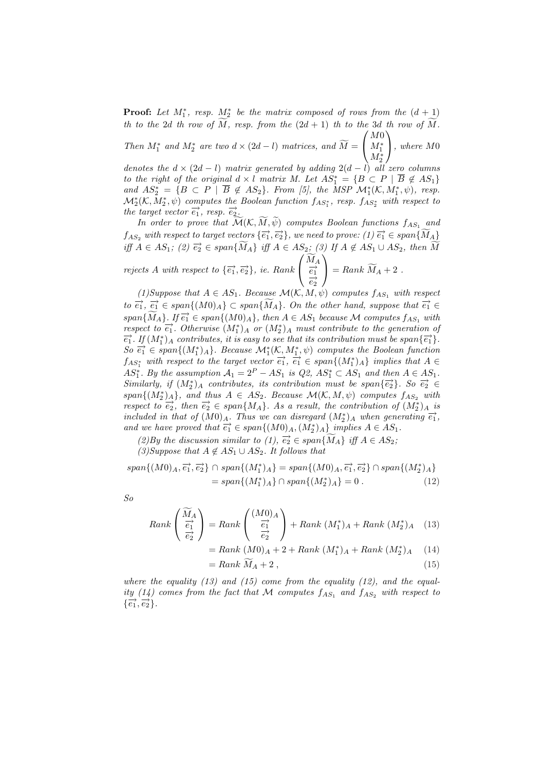**Proof:** Let  $M_1^*$ , resp.  $M_2^*$  be the matrix composed of rows from the  $(d + 1)$ th to the 2d th row of  $\widetilde{M}$ , resp. from the  $(2d + 1)$  th to the 3d th row of  $\widetilde{M}$ . M0

Then  $M_1^*$  and  $M_2^*$  are two  $d \times (2d - l)$  matrices, and  $\widetilde{M} = \begin{bmatrix} 1 & 0 \\ 0 & 1 \end{bmatrix}$  $M^*_1\over M^*_2$  $\vert$ , where M<sub>0</sub>

denotes the  $d \times (2d - l)$  matrix generated by adding  $2(d - l)$  all zero columns to the right of the original  $d \times l$  matrix M. Let  $AS_1^* = \{B \subset P \mid \overline{B} \notin AS_1\}$ and  $AS_2^* = \{B \subset P \mid \overline{B} \notin AS_2\}$ . From [5], the MSP  $\mathcal{M}_1^*(\mathcal{K}, M_1^*, \psi)$ , resp.  $\mathcal{M}_{2}^{*}(\mathcal{K},M_{2}^{*},\psi)$  computes the Boolean function  $f_{AS_{1}^{*}}$ , resp.  $f_{AS_{2}^{*}}$  with respect to the target vector  $\vec{e_1}$ , resp.  $\vec{e_2}$ .

In order to prove that  $\mathcal{\tilde{M}}(\mathcal{K}, \mathcal{\tilde{M}}, \psi)$  computes Boolean functions  $f_{AS_1}$  and  $f_{AS_2}$  with respect to target vectors  $\{\overrightarrow{e_1}, \overrightarrow{e_2}\}$ , we need to prove:  $(1)$   $\overrightarrow{e_1} \in span{\widetilde{M}_A}$ iff  $A \in AS_1$ ; (2)  $\overrightarrow{e_2} \in span{\widetilde{M_A}}$  iff  $A \in AS_2$ ; (3) If  $A \notin AS_1 \cup AS_2$ , then  $\overrightarrow{M}$  $\widetilde{M}_A$ 

rejects A with respect to  $\{\vec{e}_1, \vec{e}_2\}$ , ie. Rank  $\overrightarrow{e_1}$  $\overrightarrow{e_2}$  $=$  Rank  $\widetilde{M}_A + 2$ .

(1) Suppose that  $A \in AS_1$ . Because  $\mathcal{M}(\mathcal{K}, M, \psi)$  computes  $f_{AS_1}$  with respect to  $\overrightarrow{e_1}$ ,  $\overrightarrow{e_1} \in span\{(M0)_A\} \subset span\{\widetilde{M}_A\}$ . On the other hand, suppose that  $\overrightarrow{e_1} \in$ span $\{\widetilde{M}_A\}$ . If  $\overrightarrow{e_1} \in span\{(M0)_A\}$ , then  $A \in AS_1$  because M computes  $f_{AS_1}$  with respect to  $\overline{e_1}$ . Otherwise  $(M_1^*)_A$  or  $(M_2^*)_A$  must contribute to the generation of  $\overline{e_1}$ . If  $(M_1^*)_A$  contributes, it is easy to see that its contribution must be span $\{\overline{e_1}\}$ .  $So \overrightarrow{e_1} \in span\{(M_1^*)_A\}.$  Because  $\mathcal{M}_1^*(\mathcal{K}, M_1^*, \psi)$  computes the Boolean function  $f_{AS_1^*}$  with respect to the target vector  $\overrightarrow{e_1}, \overrightarrow{e_1} \in span\{(M_1^*)_A\}$  implies that  $A \in$ AS<sup>\*</sup><sub>1</sub>. By the assumption  $A_1 = 2^P - AS_1$  is  $Q2$ ,  $AS^*_1 \subset AS_1$  and then  $A \in AS_1$ .  $Similarly,$  if  $(M_2^*)_A$  contributes, its contribution must be  $span\{\overrightarrow{e_2}\}\$ . So  $\overrightarrow{e_2} \in$  $span\{(M_2^*)_A\}$ , and thus  $A \in AS_2$ . Because  $\mathcal{M}(\mathcal{K}, M, \psi)$  computes  $f_{AS_2}$  with respect to  $\overrightarrow{e_2}$ , then  $\overrightarrow{e_2} \in span\{M_A\}$ . As a result, the contribution of  $(M_2^*)_A$  is included in that of  $(M0)_A$ . Thus we can disregard  $(M_2^*)_A$  when generating  $\overrightarrow{e_1}$ , and we have proved that  $\overrightarrow{e_1} \in span\{(M0)_A, (M_2^*)_A\}$  implies  $A \in AS_1$ .

(2)By the discussion similar to (1),  $\overrightarrow{e_2} \in span\{\overrightarrow{M_A}\}\$ iff  $A \in AS_2$ ;

(3)Suppose that  $A \notin AS_1 \cup AS_2$ . It follows that

$$
span\{(M0)_A, \vec{e_1}, \vec{e_2}\} \cap span\{(M_1^*)_A\} = span\{(M0)_A, \vec{e_1}, \vec{e_2}\} \cap span\{(M_2^*)_A\}
$$
  
=  $span\{(M_1^*)_A\} \cap span\{(M_2^*)_A\} = 0$ . (12)

So

$$
Rank\left(\begin{array}{c}\widetilde{M}_A\\\frac{\overrightarrow{e_1}}{\overrightarrow{e_2}}\end{array}\right)=Rank\left(\begin{array}{c}(M0)_A\\\frac{\overrightarrow{e_1}}{\overrightarrow{e_2}}\end{array}\right)+Rank(M_1^*)_A+Rank(M_2^*)_A\quad (13)
$$

$$
= Rank (M0)A + 2 + Rank (M1*)A + Rank (M2*)A (14)
$$

$$
= Rank \widetilde{M}_A + 2 , \qquad (15)
$$

where the equality (13) and (15) come from the equality (12), and the equality (14) comes from the fact that M computes  $f_{AS_1}$  and  $f_{AS_2}$  with respect to  $\{\overrightarrow{e_1}, \overrightarrow{e_2}\}.$